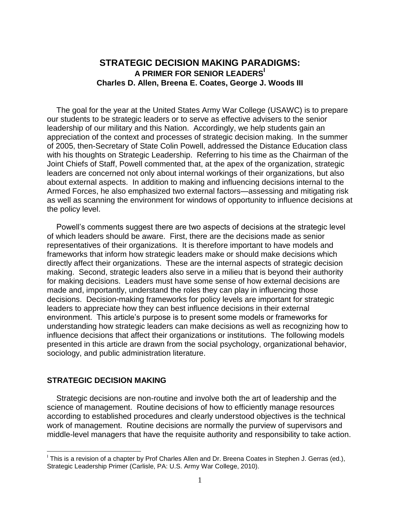# **STRATEGIC DECISION MAKING PARADIGMS: A PRIMER FOR SENIOR LEADERS<sup>I</sup> Charles D. Allen, Breena E. Coates, George J. Woods III**

The goal for the year at the United States Army War College (USAWC) is to prepare our students to be strategic leaders or to serve as effective advisers to the senior leadership of our military and this Nation. Accordingly, we help students gain an appreciation of the context and processes of strategic decision making. In the summer of 2005, then-Secretary of State Colin Powell, addressed the Distance Education class with his thoughts on Strategic Leadership. Referring to his time as the Chairman of the Joint Chiefs of Staff, Powell commented that, at the apex of the organization, strategic leaders are concerned not only about internal workings of their organizations, but also about external aspects. In addition to making and influencing decisions internal to the Armed Forces, he also emphasized two external factors—assessing and mitigating risk as well as scanning the environment for windows of opportunity to influence decisions at the policy level.

Powell's comments suggest there are two aspects of decisions at the strategic level of which leaders should be aware. First, there are the decisions made as senior representatives of their organizations. It is therefore important to have models and frameworks that inform how strategic leaders make or should make decisions which directly affect their organizations. These are the internal aspects of strategic decision making. Second, strategic leaders also serve in a milieu that is beyond their authority for making decisions. Leaders must have some sense of how external decisions are made and, importantly, understand the roles they can play in influencing those decisions. Decision-making frameworks for policy levels are important for strategic leaders to appreciate how they can best influence decisions in their external environment. This article's purpose is to present some models or frameworks for understanding how strategic leaders can make decisions as well as recognizing how to influence decisions that affect their organizations or institutions. The following models presented in this article are drawn from the social psychology, organizational behavior, sociology, and public administration literature.

### **STRATEGIC DECISION MAKING**

 $\overline{a}$ 

Strategic decisions are non-routine and involve both the art of leadership and the science of management. Routine decisions of how to efficiently manage resources according to established procedures and clearly understood objectives is the technical work of management. Routine decisions are normally the purview of supervisors and middle-level managers that have the requisite authority and responsibility to take action.

<sup>&</sup>lt;sup>I</sup> This is a revision of a chapter by Prof Charles Allen and Dr. Breena Coates in Stephen J. Gerras (ed.), Strategic Leadership Primer (Carlisle, PA: U.S. Army War College, 2010).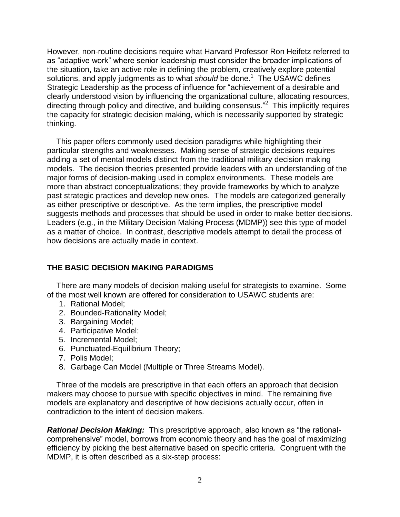However, non-routine decisions require what Harvard Professor Ron Heifetz referred to as "adaptive work" where senior leadership must consider the broader implications of the situation, take an active role in defining the problem, creatively explore potential solutions, and apply judgments as to what *should* be done.<sup>1</sup> The USAWC defines Strategic Leadership as the process of influence for "achievement of a desirable and clearly understood vision by influencing the organizational culture, allocating resources, directing through policy and directive, and building consensus."<sup>2</sup> This implicitly requires the capacity for strategic decision making, which is necessarily supported by strategic thinking.

This paper offers commonly used decision paradigms while highlighting their particular strengths and weaknesses. Making sense of strategic decisions requires adding a set of mental models distinct from the traditional military decision making models. The decision theories presented provide leaders with an understanding of the major forms of decision-making used in complex environments. These models are more than abstract conceptualizations; they provide frameworks by which to analyze past strategic practices and develop new ones. The models are categorized generally as either prescriptive or descriptive. As the term implies, the prescriptive model suggests methods and processes that should be used in order to make better decisions. Leaders (e.g., in the Military Decision Making Process (MDMP)) see this type of model as a matter of choice. In contrast, descriptive models attempt to detail the process of how decisions are actually made in context.

## **THE BASIC DECISION MAKING PARADIGMS**

There are many models of decision making useful for strategists to examine. Some of the most well known are offered for consideration to USAWC students are:

- 1. Rational Model;
- 2. Bounded-Rationality Model;
- 3. Bargaining Model;
- 4. Participative Model;
- 5. Incremental Model;
- 6. Punctuated-Equilibrium Theory;
- 7. Polis Model;
- 8. Garbage Can Model (Multiple or Three Streams Model).

Three of the models are prescriptive in that each offers an approach that decision makers may choose to pursue with specific objectives in mind. The remaining five models are explanatory and descriptive of how decisions actually occur, often in contradiction to the intent of decision makers.

*Rational Decision Making:* This prescriptive approach, also known as "the rationalcomprehensive" model, borrows from economic theory and has the goal of maximizing efficiency by picking the best alternative based on specific criteria. Congruent with the MDMP, it is often described as a six-step process: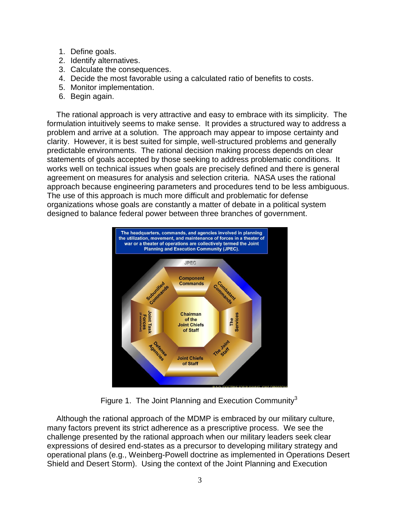- 1. Define goals.
- 2. Identify alternatives.
- 3. Calculate the consequences.
- 4. Decide the most favorable using a calculated ratio of benefits to costs.
- 5. Monitor implementation.
- 6. Begin again.

The rational approach is very attractive and easy to embrace with its simplicity. The formulation intuitively seems to make sense. It provides a structured way to address a problem and arrive at a solution. The approach may appear to impose certainty and clarity. However, it is best suited for simple, well-structured problems and generally predictable environments. The rational decision making process depends on clear statements of goals accepted by those seeking to address problematic conditions. It works well on technical issues when goals are precisely defined and there is general agreement on measures for analysis and selection criteria. NASA uses the rational approach because engineering parameters and procedures tend to be less ambiguous. The use of this approach is much more difficult and problematic for defense organizations whose goals are constantly a matter of debate in a political system designed to balance federal power between three branches of government.



Figure 1. The Joint Planning and Execution Community<sup>3</sup>

Although the rational approach of the MDMP is embraced by our military culture, many factors prevent its strict adherence as a prescriptive process. We see the challenge presented by the rational approach when our military leaders seek clear expressions of desired end-states as a precursor to developing military strategy and operational plans (e.g., Weinberg-Powell doctrine as implemented in Operations Desert Shield and Desert Storm). Using the context of the Joint Planning and Execution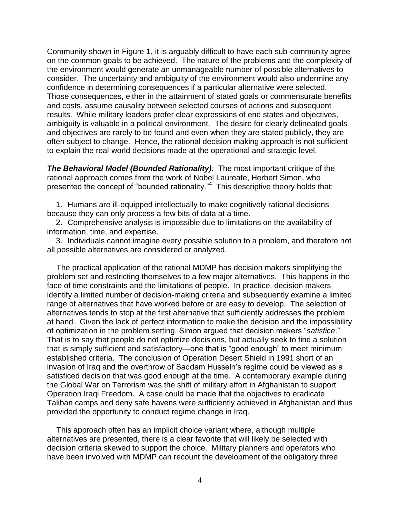Community shown in Figure 1, it is arguably difficult to have each sub-community agree on the common goals to be achieved. The nature of the problems and the complexity of the environment would generate an unmanageable number of possible alternatives to consider. The uncertainty and ambiguity of the environment would also undermine any confidence in determining consequences if a particular alternative were selected. Those consequences, either in the attainment of stated goals or commensurate benefits and costs, assume causality between selected courses of actions and subsequent results. While military leaders prefer clear expressions of end states and objectives, ambiguity is valuable in a political environment. The desire for clearly delineated goals and objectives are rarely to be found and even when they are stated publicly, they are often subject to change. Hence, the rational decision making approach is not sufficient to explain the real-world decisions made at the operational and strategic level.

*The Behavioral Model (Bounded Rationality):* The most important critique of the rational approach comes from the work of Nobel Laureate, Herbert Simon, who presented the concept of "bounded rationality."<sup>4</sup> This descriptive theory holds that:

1. Humans are ill-equipped intellectually to make cognitively rational decisions because they can only process a few bits of data at a time.

2. Comprehensive analysis is impossible due to limitations on the availability of information, time, and expertise.

3. Individuals cannot imagine every possible solution to a problem, and therefore not all possible alternatives are considered or analyzed.

The practical application of the rational MDMP has decision makers simplifying the problem set and restricting themselves to a few major alternatives. This happens in the face of time constraints and the limitations of people. In practice, decision makers identify a limited number of decision-making criteria and subsequently examine a limited range of alternatives that have worked before or are easy to develop. The selection of alternatives tends to stop at the first alternative that sufficiently addresses the problem at hand. Given the lack of perfect information to make the decision and the impossibility of optimization in the problem setting, Simon argued that decision makers "*satisfice*." That is to say that people do not optimize decisions, but actually seek to find a solution that is simply sufficient and satisfactory—one that is "good enough" to meet minimum established criteria. The conclusion of Operation Desert Shield in 1991 short of an invasion of Iraq and the overthrow of Saddam Hussein's regime could be viewed as a satisficed decision that was good enough at the time. A contemporary example during the Global War on Terrorism was the shift of military effort in Afghanistan to support Operation Iraqi Freedom. A case could be made that the objectives to eradicate Taliban camps and deny safe havens were sufficiently achieved in Afghanistan and thus provided the opportunity to conduct regime change in Iraq.

This approach often has an implicit choice variant where, although multiple alternatives are presented, there is a clear favorite that will likely be selected with decision criteria skewed to support the choice. Military planners and operators who have been involved with MDMP can recount the development of the obligatory three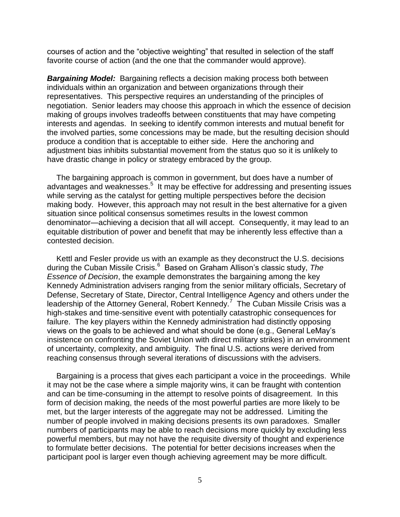courses of action and the "objective weighting" that resulted in selection of the staff favorite course of action (and the one that the commander would approve).

**Bargaining Model:** Bargaining reflects a decision making process both between individuals within an organization and between organizations through their representatives. This perspective requires an understanding of the principles of negotiation. Senior leaders may choose this approach in which the essence of decision making of groups involves tradeoffs between constituents that may have competing interests and agendas. In seeking to identify common interests and mutual benefit for the involved parties, some concessions may be made, but the resulting decision should produce a condition that is acceptable to either side. Here the anchoring and adjustment bias inhibits substantial movement from the status quo so it is unlikely to have drastic change in policy or strategy embraced by the group.

The bargaining approach is common in government, but does have a number of advantages and weaknesses.<sup>5</sup> It may be effective for addressing and presenting issues while serving as the catalyst for getting multiple perspectives before the decision making body. However, this approach may not result in the best alternative for a given situation since political consensus sometimes results in the lowest common denominator—achieving a decision that all will accept. Consequently, it may lead to an equitable distribution of power and benefit that may be inherently less effective than a contested decision.

Kettl and Fesler provide us with an example as they deconstruct the U.S. decisions during the Cuban Missile Crisis.<sup>6</sup> Based on Graham Allison's classic study, The *Essence of Decision*, the example demonstrates the bargaining among the key Kennedy Administration advisers ranging from the senior military officials, Secretary of Defense, Secretary of State, Director, Central Intelligence Agency and others under the leadership of the Attorney General, Robert Kennedy.<sup>7</sup> The Cuban Missile Crisis was a high-stakes and time-sensitive event with potentially catastrophic consequences for failure. The key players within the Kennedy administration had distinctly opposing views on the goals to be achieved and what should be done (e.g., General LeMay's insistence on confronting the Soviet Union with direct military strikes) in an environment of uncertainty, complexity, and ambiguity. The final U.S. actions were derived from reaching consensus through several iterations of discussions with the advisers.

Bargaining is a process that gives each participant a voice in the proceedings. While it may not be the case where a simple majority wins, it can be fraught with contention and can be time-consuming in the attempt to resolve points of disagreement. In this form of decision making, the needs of the most powerful parties are more likely to be met, but the larger interests of the aggregate may not be addressed. Limiting the number of people involved in making decisions presents its own paradoxes. Smaller numbers of participants may be able to reach decisions more quickly by excluding less powerful members, but may not have the requisite diversity of thought and experience to formulate better decisions. The potential for better decisions increases when the participant pool is larger even though achieving agreement may be more difficult.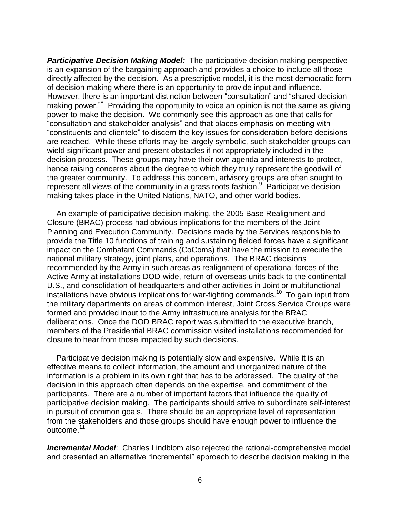**Participative Decision Making Model:** The participative decision making perspective is an expansion of the bargaining approach and provides a choice to include all those directly affected by the decision. As a prescriptive model, it is the most democratic form of decision making where there is an opportunity to provide input and influence. However, there is an important distinction between "consultation" and "shared decision making power."<sup>8</sup> Providing the opportunity to voice an opinion is not the same as giving power to make the decision. We commonly see this approach as one that calls for "consultation and stakeholder analysis" and that places emphasis on meeting with "constituents and clientele" to discern the key issues for consideration before decisions are reached. While these efforts may be largely symbolic, such stakeholder groups can wield significant power and present obstacles if not appropriately included in the decision process. These groups may have their own agenda and interests to protect, hence raising concerns about the degree to which they truly represent the goodwill of the greater community. To address this concern, advisory groups are often sought to represent all views of the community in a grass roots fashion.<sup>9</sup> Participative decision making takes place in the United Nations, NATO, and other world bodies.

An example of participative decision making, the 2005 Base Realignment and Closure (BRAC) process had obvious implications for the members of the Joint Planning and Execution Community. Decisions made by the Services responsible to provide the Title 10 functions of training and sustaining fielded forces have a significant impact on the Combatant Commands (CoComs) that have the mission to execute the national military strategy, joint plans, and operations. The BRAC decisions recommended by the Army in such areas as realignment of operational forces of the Active Army at installations DOD-wide, return of overseas units back to the continental U.S., and consolidation of headquarters and other activities in Joint or multifunctional installations have obvious implications for war-fighting commands.<sup>10</sup> To gain input from the military departments on areas of common interest, Joint Cross Service Groups were formed and provided input to the Army infrastructure analysis for the BRAC deliberations. Once the DOD BRAC report was submitted to the executive branch, members of the Presidential BRAC commission visited installations recommended for closure to hear from those impacted by such decisions.

Participative decision making is potentially slow and expensive. While it is an effective means to collect information, the amount and unorganized nature of the information is a problem in its own right that has to be addressed. The quality of the decision in this approach often depends on the expertise, and commitment of the participants. There are a number of important factors that influence the quality of participative decision making. The participants should strive to subordinate self-interest in pursuit of common goals. There should be an appropriate level of representation from the stakeholders and those groups should have enough power to influence the outcome.<sup>11</sup>

*Incremental Model*: Charles Lindblom also rejected the rational-comprehensive model and presented an alternative "incremental" approach to describe decision making in the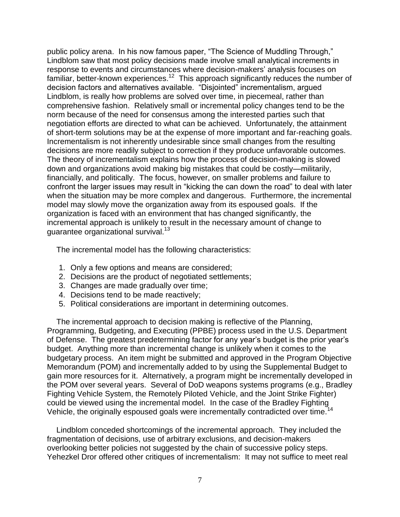public policy arena. In his now famous paper, "The Science of Muddling Through," Lindblom saw that most policy decisions made involve small analytical increments in response to events and circumstances where decision-makers' analysis focuses on familiar, better-known experiences.<sup>12</sup> This approach significantly reduces the number of decision factors and alternatives available. "Disjointed" incrementalism, argued Lindblom, is really how problems are solved over time, in piecemeal, rather than comprehensive fashion. Relatively small or incremental policy changes tend to be the norm because of the need for consensus among the interested parties such that negotiation efforts are directed to what can be achieved. Unfortunately, the attainment of short-term solutions may be at the expense of more important and far-reaching goals. Incrementalism is not inherently undesirable since small changes from the resulting decisions are more readily subject to correction if they produce unfavorable outcomes. The theory of incrementalism explains how the process of decision-making is slowed down and organizations avoid making big mistakes that could be costly—militarily, financially, and politically. The focus, however, on smaller problems and failure to confront the larger issues may result in "kicking the can down the road" to deal with later when the situation may be more complex and dangerous. Furthermore, the incremental model may slowly move the organization away from its espoused goals. If the organization is faced with an environment that has changed significantly, the incremental approach is unlikely to result in the necessary amount of change to guarantee organizational survival.<sup>13</sup>

The incremental model has the following characteristics:

- 1. Only a few options and means are considered;
- 2. Decisions are the product of negotiated settlements;
- 3. Changes are made gradually over time;
- 4. Decisions tend to be made reactively;
- 5. Political considerations are important in determining outcomes.

The incremental approach to decision making is reflective of the Planning, Programming, Budgeting, and Executing (PPBE) process used in the U.S. Department of Defense. The greatest predetermining factor for any year's budget is the prior year's budget. Anything more than incremental change is unlikely when it comes to the budgetary process. An item might be submitted and approved in the Program Objective Memorandum (POM) and incrementally added to by using the Supplemental Budget to gain more resources for it. Alternatively, a program might be incrementally developed in the POM over several years. Several of DoD weapons systems programs (e.g., Bradley Fighting Vehicle System, the Remotely Piloted Vehicle, and the Joint Strike Fighter) could be viewed using the incremental model. In the case of the Bradley Fighting Vehicle, the originally espoused goals were incrementally contradicted over time.<sup>14</sup>

Lindblom conceded shortcomings of the incremental approach. They included the fragmentation of decisions, use of arbitrary exclusions, and decision-makers overlooking better policies not suggested by the chain of successive policy steps. Yehezkel Dror offered other critiques of incrementalism: It may not suffice to meet real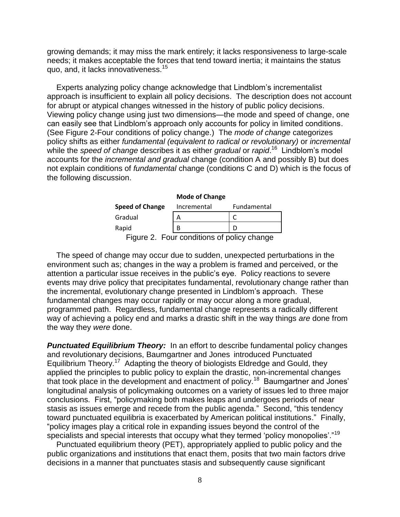growing demands; it may miss the mark entirely; it lacks responsiveness to large-scale needs; it makes acceptable the forces that tend toward inertia; it maintains the status quo, and, it lacks innovativeness.<sup>15</sup>

Experts analyzing policy change acknowledge that Lindblom's incrementalist approach is insufficient to explain all policy decisions. The description does not account for abrupt or atypical changes witnessed in the history of public policy decisions. Viewing policy change using just two dimensions—the mode and speed of change, one can easily see that Lindblom's approach only accounts for policy in limited conditions. (See Figure 2-Four conditions of policy change.) The *mode of change* categorizes policy shifts as either *fundamental (equivalent to radical or revolutionary)* or *incremental* while the *speed of change* describes it as either *gradual* or *rapid*. 16 Lindblom's model accounts for the *incremental and gradual* change (condition A and possibly B) but does not explain conditions of *fundamental* change (conditions C and D) which is the focus of the following discussion.

#### **Mode of Change**

| <b>Speed of Change</b> | Incremental | Fundamental |
|------------------------|-------------|-------------|
| Gradual                |             |             |
| Rapid                  |             |             |
|                        |             |             |

Figure 2. Four conditions of policy change

The speed of change may occur due to sudden, unexpected perturbations in the environment such as; changes in the way a problem is framed and perceived, or the attention a particular issue receives in the public's eye. Policy reactions to severe events may drive policy that precipitates fundamental, revolutionary change rather than the incremental, evolutionary change presented in Lindblom's approach. These fundamental changes may occur rapidly or may occur along a more gradual, programmed path. Regardless, fundamental change represents a radically different way of achieving a policy end and marks a drastic shift in the way things *are* done from the way they *were* done.

**Punctuated Equilibrium Theory:** In an effort to describe fundamental policy changes and revolutionary decisions, Baumgartner and Jones introduced Punctuated Equilibrium Theory.<sup>17</sup> Adapting the theory of biologists Eldredge and Gould, they applied the principles to public policy to explain the drastic, non-incremental changes that took place in the development and enactment of policy.<sup>18</sup> Baumgartner and Jones' longitudinal analysis of policymaking outcomes on a variety of issues led to three major conclusions. First, "policymaking both makes leaps and undergoes periods of near stasis as issues emerge and recede from the public agenda." Second, "this tendency toward punctuated equilibria is exacerbated by American political institutions." Finally, "policy images play a critical role in expanding issues beyond the control of the specialists and special interests that occupy what they termed 'policy monopolies'."<sup>19</sup>

Punctuated equilibrium theory (PET), appropriately applied to public policy and the public organizations and institutions that enact them, posits that two main factors drive decisions in a manner that punctuates stasis and subsequently cause significant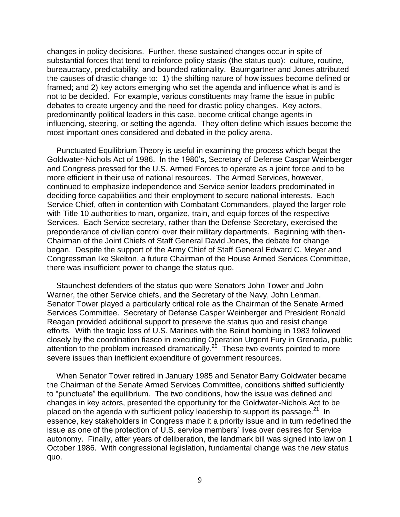changes in policy decisions. Further, these sustained changes occur in spite of substantial forces that tend to reinforce policy stasis (the status quo): culture, routine, bureaucracy, predictability, and bounded rationality. Baumgartner and Jones attributed the causes of drastic change to: 1) the shifting nature of how issues become defined or framed; and 2) key actors emerging who set the agenda and influence what is and is not to be decided. For example, various constituents may frame the issue in public debates to create urgency and the need for drastic policy changes. Key actors, predominantly political leaders in this case, become critical change agents in influencing, steering, or setting the agenda. They often define which issues become the most important ones considered and debated in the policy arena.

Punctuated Equilibrium Theory is useful in examining the process which begat the Goldwater-Nichols Act of 1986. In the 1980's, Secretary of Defense Caspar Weinberger and Congress pressed for the U.S. Armed Forces to operate as a joint force and to be more efficient in their use of national resources. The Armed Services, however, continued to emphasize independence and Service senior leaders predominated in deciding force capabilities and their employment to secure national interests. Each Service Chief, often in contention with Combatant Commanders, played the larger role with Title 10 authorities to man, organize, train, and equip forces of the respective Services. Each Service secretary, rather than the Defense Secretary, exercised the preponderance of civilian control over their military departments. Beginning with then-Chairman of the Joint Chiefs of Staff General David Jones, the debate for change began. Despite the support of the Army Chief of Staff General Edward C. Meyer and Congressman Ike Skelton, a future Chairman of the House Armed Services Committee, there was insufficient power to change the status quo.

Staunchest defenders of the status quo were Senators John Tower and John Warner, the other Service chiefs, and the Secretary of the Navy, John Lehman. Senator Tower played a particularly critical role as the Chairman of the Senate Armed Services Committee. Secretary of Defense Casper Weinberger and President Ronald Reagan provided additional support to preserve the status quo and resist change efforts. With the tragic loss of U.S. Marines with the Beirut bombing in 1983 followed closely by the coordination fiasco in executing Operation Urgent Fury in Grenada, public attention to the problem increased dramatically.<sup>20</sup> These two events pointed to more severe issues than inefficient expenditure of government resources.

When Senator Tower retired in January 1985 and Senator Barry Goldwater became the Chairman of the Senate Armed Services Committee, conditions shifted sufficiently to "punctuate" the equilibrium. The two conditions, how the issue was defined and changes in key actors, presented the opportunity for the Goldwater-Nichols Act to be placed on the agenda with sufficient policy leadership to support its passage.<sup>21</sup> In essence, key stakeholders in Congress made it a priority issue and in turn redefined the issue as one of the protection of U.S. service members' lives over desires for Service autonomy. Finally, after years of deliberation, the landmark bill was signed into law on 1 October 1986. With congressional legislation, fundamental change was the *new* status quo.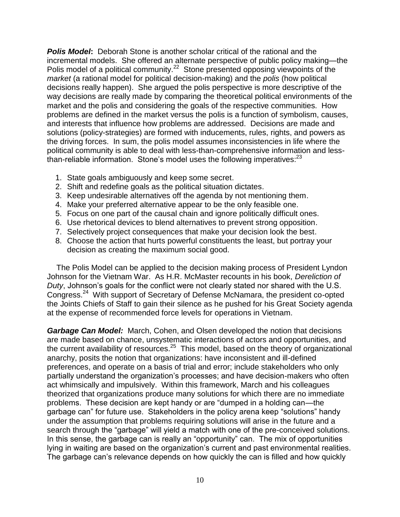*Polis Model***:** Deborah Stone is another scholar critical of the rational and the incremental models. She offered an alternate perspective of public policy making—the Polis model of a political community.<sup>22</sup> Stone presented opposing viewpoints of the *market* (a rational model for political decision-making) and the *polis* (how political decisions really happen). She argued the polis perspective is more descriptive of the way decisions are really made by comparing the theoretical political environments of the market and the polis and considering the goals of the respective communities. How problems are defined in the market versus the polis is a function of symbolism, causes, and interests that influence how problems are addressed. Decisions are made and solutions (policy-strategies) are formed with inducements, rules, rights, and powers as the driving forces. In sum, the polis model assumes inconsistencies in life where the political community is able to deal with less-than-comprehensive information and lessthan-reliable information. Stone's model uses the following imperatives: $^{23}$ 

- 1. State goals ambiguously and keep some secret.
- 2. Shift and redefine goals as the political situation dictates.
- 3. Keep undesirable alternatives off the agenda by not mentioning them.
- 4. Make your preferred alternative appear to be the only feasible one.
- 5. Focus on one part of the causal chain and ignore politically difficult ones.
- 6. Use rhetorical devices to blend alternatives to prevent strong opposition.
- 7. Selectively project consequences that make your decision look the best.
- 8. Choose the action that hurts powerful constituents the least, but portray your decision as creating the maximum social good.

The Polis Model can be applied to the decision making process of President Lyndon Johnson for the Vietnam War. As H.R. McMaster recounts in his book, *Dereliction of Duty*, Johnson's goals for the conflict were not clearly stated nor shared with the U.S. Congress.<sup>24</sup> With support of Secretary of Defense McNamara, the president co-opted the Joints Chiefs of Staff to gain their silence as he pushed for his Great Society agenda at the expense of recommended force levels for operations in Vietnam.

*Garbage Can Model:* March, Cohen, and Olsen developed the notion that decisions are made based on chance, unsystematic interactions of actors and opportunities, and the current availability of resources. $25$  This model, based on the theory of organizational anarchy, posits the notion that organizations: have inconsistent and ill-defined preferences, and operate on a basis of trial and error; include stakeholders who only partially understand the organization's processes; and have decision-makers who often act whimsically and impulsively. Within this framework, March and his colleagues theorized that organizations produce many solutions for which there are no immediate problems. These decision are kept handy or are "dumped in a holding can—the garbage can" for future use. Stakeholders in the policy arena keep "solutions" handy under the assumption that problems requiring solutions will arise in the future and a search through the "garbage" will yield a match with one of the pre-conceived solutions. In this sense, the garbage can is really an "opportunity" can. The mix of opportunities lying in waiting are based on the organization's current and past environmental realities. The garbage can's relevance depends on how quickly the can is filled and how quickly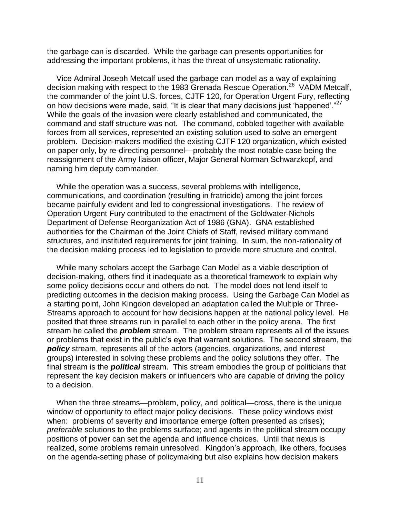the garbage can is discarded. While the garbage can presents opportunities for addressing the important problems, it has the threat of unsystematic rationality.

Vice Admiral Joseph Metcalf used the garbage can model as a way of explaining decision making with respect to the 1983 Grenada Rescue Operation.<sup>26</sup> VADM Metcalf, the commander of the joint U.S. forces, CJTF 120, for Operation Urgent Fury, reflecting on how decisions were made, said, "It is clear that many decisions just 'happened'. $27$ While the goals of the invasion were clearly established and communicated, the command and staff structure was not. The command, cobbled together with available forces from all services, represented an existing solution used to solve an emergent problem. Decision-makers modified the existing CJTF 120 organization, which existed on paper only, by re-directing personnel—probably the most notable case being the reassignment of the Army liaison officer, Major General Norman Schwarzkopf, and naming him deputy commander.

While the operation was a success, several problems with intelligence, communications, and coordination (resulting in fratricide) among the joint forces became painfully evident and led to congressional investigations. The review of Operation Urgent Fury contributed to the enactment of the Goldwater-Nichols Department of Defense Reorganization Act of 1986 (GNA). GNA established authorities for the Chairman of the Joint Chiefs of Staff, revised military command structures, and instituted requirements for joint training. In sum, the non-rationality of the decision making process led to legislation to provide more structure and control.

While many scholars accept the Garbage Can Model as a viable description of decision-making, others find it inadequate as a theoretical framework to explain why some policy decisions occur and others do not. The model does not lend itself to predicting outcomes in the decision making process. Using the Garbage Can Model as a starting point, John Kingdon developed an adaptation called the Multiple or Three-Streams approach to account for how decisions happen at the national policy level. He posited that three streams run in parallel to each other in the policy arena. The first stream he called the *problem* stream. The problem stream represents all of the issues or problems that exist in the public's eye that warrant solutions. The second stream, the *policy* stream, represents all of the actors (agencies, organizations, and interest groups) interested in solving these problems and the policy solutions they offer. The final stream is the *political* stream. This stream embodies the group of politicians that represent the key decision makers or influencers who are capable of driving the policy to a decision.

When the three streams—problem, policy, and political—cross, there is the unique window of opportunity to effect major policy decisions. These policy windows exist when: problems of severity and importance emerge (often presented as crises); *preferable* solutions to the problems surface; and agents in the political stream occupy positions of power can set the agenda and influence choices. Until that nexus is realized, some problems remain unresolved. Kingdon's approach, like others, focuses on the agenda-setting phase of policymaking but also explains how decision makers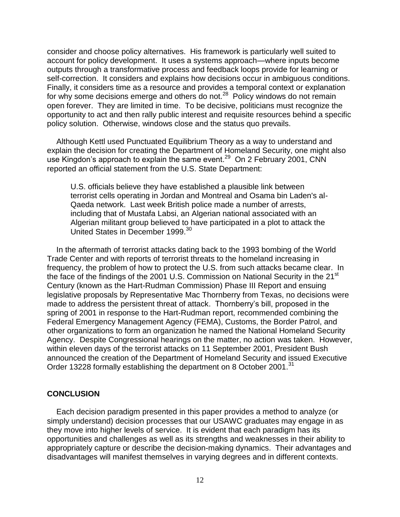consider and choose policy alternatives. His framework is particularly well suited to account for policy development. It uses a systems approach—where inputs become outputs through a transformative process and feedback loops provide for learning or self-correction. It considers and explains how decisions occur in ambiguous conditions. Finally, it considers time as a resource and provides a temporal context or explanation for why some decisions emerge and others do not.<sup>28</sup> Policy windows do not remain open forever. They are limited in time. To be decisive, politicians must recognize the opportunity to act and then rally public interest and requisite resources behind a specific policy solution. Otherwise, windows close and the status quo prevails.

Although Kettl used Punctuated Equilibrium Theory as a way to understand and explain the decision for creating the Department of Homeland Security, one might also use Kingdon's approach to explain the same event.<sup>29</sup> On 2 February 2001, CNN reported an official statement from the U.S. State Department:

U.S. officials believe they have established a plausible link between terrorist cells operating in Jordan and Montreal and Osama bin Laden's al-Qaeda network. Last week British police made a number of arrests, including that of Mustafa Labsi, an Algerian national associated with an Algerian militant group believed to have participated in a plot to attack the United States in December 1999.<sup>30</sup>

In the aftermath of terrorist attacks dating back to the 1993 bombing of the World Trade Center and with reports of terrorist threats to the homeland increasing in frequency, the problem of how to protect the U.S. from such attacks became clear. In the face of the findings of the 2001 U.S. Commission on National Security in the 21<sup>st</sup> Century (known as the Hart-Rudman Commission) Phase III Report and ensuing legislative proposals by Representative Mac Thornberry from Texas, no decisions were made to address the persistent threat of attack. Thornberry's bill, proposed in the spring of 2001 in response to the Hart-Rudman report, recommended combining the Federal Emergency Management Agency (FEMA), Customs, the Border Patrol, and other organizations to form an organization he named the National Homeland Security Agency. Despite Congressional hearings on the matter, no action was taken. However, within eleven days of the terrorist attacks on 11 September 2001, President Bush announced the creation of the Department of Homeland Security and issued Executive Order 13228 formally establishing the department on 8 October 2001.<sup>31</sup>

### **CONCLUSION**

Each decision paradigm presented in this paper provides a method to analyze (or simply understand) decision processes that our USAWC graduates may engage in as they move into higher levels of service. It is evident that each paradigm has its opportunities and challenges as well as its strengths and weaknesses in their ability to appropriately capture or describe the decision-making dynamics. Their advantages and disadvantages will manifest themselves in varying degrees and in different contexts.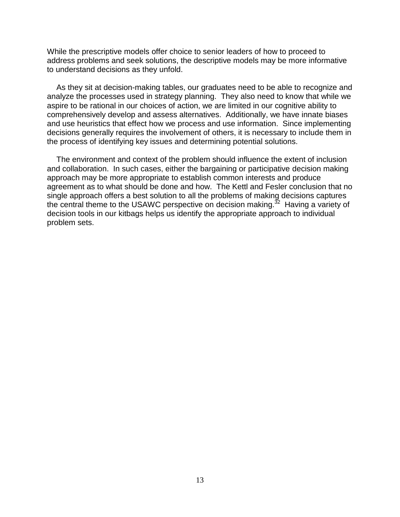While the prescriptive models offer choice to senior leaders of how to proceed to address problems and seek solutions, the descriptive models may be more informative to understand decisions as they unfold.

As they sit at decision-making tables, our graduates need to be able to recognize and analyze the processes used in strategy planning. They also need to know that while we aspire to be rational in our choices of action, we are limited in our cognitive ability to comprehensively develop and assess alternatives. Additionally, we have innate biases and use heuristics that effect how we process and use information. Since implementing decisions generally requires the involvement of others, it is necessary to include them in the process of identifying key issues and determining potential solutions.

The environment and context of the problem should influence the extent of inclusion and collaboration. In such cases, either the bargaining or participative decision making approach may be more appropriate to establish common interests and produce agreement as to what should be done and how. The Kettl and Fesler conclusion that no single approach offers a best solution to all the problems of making decisions captures the central theme to the USAWC perspective on decision making.<sup>32</sup> Having a variety of decision tools in our kitbags helps us identify the appropriate approach to individual problem sets.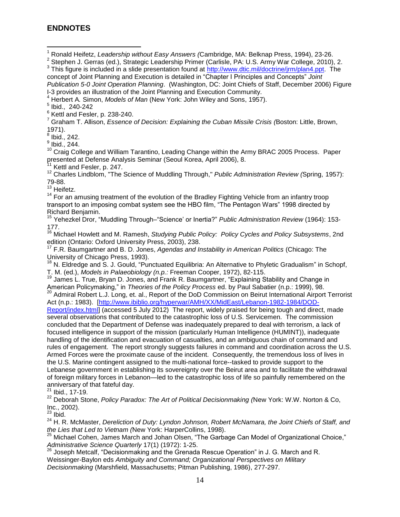### **ENDNOTES**

 $\overline{a}$ 

<sup>7</sup> Graham T. Allison, *Essence of Decision: Explaining the Cuban Missile Crisis (*Boston: Little, Brown, 1971).

 $^8$  Ibid., 242.

 $^9$  Ibid., 244.

<sup>10</sup> Craig College and William Tarantino, Leading Change within the Army BRAC 2005 Process. Paper presented at Defense Analysis Seminar (Seoul Korea, April 2006), 8.

Kettl and Fesler, p. 247.

<sup>12</sup> Charles Lindblom, "The Science of Muddling Through," *Public Administration Review (*Spring, 1957): 79-88.

<sup>13</sup> Heifetz.

<sup>14</sup> For an amusing treatment of the evolution of the Bradley Fighting Vehicle from an infantry troop transport to an imposing combat system see the HBO film, "The Pentagon Wars" 1998 directed by Richard Benjamin.

<sup>15</sup> Yehezkel Dror, "Muddling Through–"Science' or Inertia?" *Public Administration Review* (1964): 153- 177.

<sup>16</sup> Michael Howlett and M. Ramesh, *Studying Public Policy: Policy Cycles and Policy Subsystems*, 2nd edition (Ontario: Oxford University Press, 2003), 238.

<sup>17</sup> F.R. Baumgartner and B. D. Jones, *Agendas and Instability in American Politics* (Chicago: The University of Chicago Press, 1993).

<sup>18</sup> N. Eldredge and S. J. Gould, "Punctuated Equilibria: An Alternative to Phyletic Gradualism" in Schopf, T. M. (ed.), *Models in Palaeobiology (n.p.:* Freeman Cooper, 1972), 82-115.

<sup>19</sup> James L. True, Bryan D. Jones, and Frank R. Baumgartner, "Explaining Stability and Change in American Policymaking," in *Theories of the Policy Process* ed. by Paul Sabatier (n.p.: 1999), 98.

<sup>20</sup> Admiral Robert L.J. Long, et. al., Report of the DoD Commission on Beirut International Airport Terrorist Act (n.p.: 1983). [\[http://www.ibiblio.org/hyperwar/AMH/XX/MidEast/Lebanon-1982-1984/DOD-](http://www.ibiblio.org/hyperwar/AMH/XX/MidEast/Lebanon-1982-1984/DOD-Report/index.html)

[Report/index.html\]](http://www.ibiblio.org/hyperwar/AMH/XX/MidEast/Lebanon-1982-1984/DOD-Report/index.html) (accessed 5 July 2012) The report, widely praised for being tough and direct, made several observations that contributed to the catastrophic loss of U.S. Servicemen. The commission concluded that the Department of Defense was inadequately prepared to deal with terrorism, a lack of focused intelligence in support of the mission (particularly Human Intelligence (HUMINT)), inadequate handling of the identification and evacuation of casualties, and an ambiguous chain of command and rules of engagement. The report strongly suggests failures in command and coordination across the U.S. Armed Forces were the proximate cause of the incident. Consequently, the tremendous loss of lives in the U.S. Marine contingent assigned to the multi-national force--tasked to provide support to the Lebanese government in establishing its sovereignty over the Beirut area and to facilitate the withdrawal of foreign military forces in Lebanon—led to the catastrophic loss of life so painfully remembered on the anniversary of that fateful day.

 $^{21}$  Ibid., 17-19.

<sup>22</sup> Deborah Stone, *Policy Paradox: The Art of Political Decisionmaking (*New York: W.W. Norton & Co, Inc., 2002).

 $^{23}$  Ibid.

<sup>24</sup> H. R. McMaster, *Dereliction of Duty: Lyndon Johnson, Robert McNamara, the Joint Chiefs of Staff, and the Lies that Led to Vietnam (*New York: HarperCollins, 1998).

<sup>25</sup> Michael Cohen, James March and Johan Olsen, "The Garbage Can Model of Organizational Choice," *Administrative Science Quarterly* 17(1) (1972): 1-25.

 $^{26}$  Joseph Metcalf, "Decisionmaking and the Grenada Rescue Operation" in J. G. March and R. Weissinger-Baylon eds *Ambiguity and Command; Organizational Perspectives on Military Decisionmaking* (Marshfield, Massachusetts; Pitman Publishing, 1986), 277-297.

<sup>1</sup> Ronald Heifetz, *Leadership without Easy Answers (*Cambridge, MA: Belknap Press, 1994), 23-26.

<sup>&</sup>lt;sup>2</sup> Stephen J. Gerras (ed.), Strategic Leadership Primer (Carlisle, PA: U.S. Army War College, 2010), 2.

<sup>&</sup>lt;sup>3</sup> This figure is included in a slide presentation found at [http://www.dtic.mil/doctrine/jrm/plan4.ppt.](http://www.dtic.mil/doctrine/jrm/plan4.ppt) The concept of Joint Planning and Execution is detailed in "Chapter I Principles and Concepts" *Joint Publication 5-0 Joint Operation Planning*. (Washington, DC: Joint Chiefs of Staff, December 2006) Figure I-3 provides an illustration of the Joint Planning and Execution Community.

<sup>4</sup> Herbert A*.* Simon, *Models of Man* (New York: John Wiley and Sons, 1957).

<sup>5</sup> Ibid., 240-242

 $^6$  Kettl and Fesler, p. 238-240.